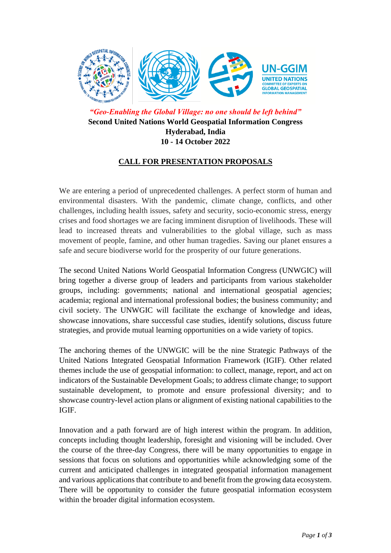

*"Geo-Enabling the Global Village: no one should be left behind"* **Second United Nations World Geospatial Information Congress Hyderabad, India 10 - 14 October 2022**

## **CALL FOR PRESENTATION PROPOSALS**

We are entering a period of unprecedented challenges. A perfect storm of human and environmental disasters. With the pandemic, climate change, conflicts, and other challenges, including health issues, safety and security, socio-economic stress, energy crises and food shortages we are facing imminent disruption of livelihoods. These will lead to increased threats and vulnerabilities to the global village, such as mass movement of people, famine, and other human tragedies. Saving our planet ensures a safe and secure biodiverse world for the prosperity of our future generations.

The second United Nations World Geospatial Information Congress (UNWGIC) will bring together a diverse group of leaders and participants from various stakeholder groups, including: governments; national and international geospatial agencies; academia; regional and international professional bodies; the business community; and civil society. The UNWGIC will facilitate the exchange of knowledge and ideas, showcase innovations, share successful case studies, identify solutions, discuss future strategies, and provide mutual learning opportunities on a wide variety of topics.

The anchoring themes of the UNWGIC will be the nine Strategic Pathways of the United Nations Integrated Geospatial Information Framework (IGIF). Other related themes include the use of geospatial information: to collect, manage, report, and act on indicators of the Sustainable Development Goals; to address climate change; to support sustainable development, to promote and ensure professional diversity; and to showcase country-level action plans or alignment of existing national capabilities to the IGIF.

Innovation and a path forward are of high interest within the program. In addition, concepts including thought leadership, foresight and visioning will be included. Over the course of the three-day Congress, there will be many opportunities to engage in sessions that focus on solutions and opportunities while acknowledging some of the current and anticipated challenges in integrated geospatial information management and various applications that contribute to and benefit from the growing data ecosystem. There will be opportunity to consider the future geospatial information ecosystem within the broader digital information ecosystem.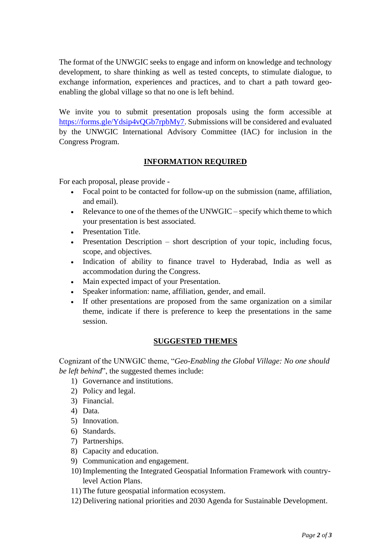The format of the UNWGIC seeks to engage and inform on knowledge and technology development, to share thinking as well as tested concepts, to stimulate dialogue, to exchange information, experiences and practices, and to chart a path toward geoenabling the global village so that no one is left behind.

We invite you to submit presentation proposals using the form accessible at [https://forms.gle/Ydsip4vQGb7rpbMy7.](https://forms.gle/Ydsip4vQGb7rpbMy7) Submissions will be considered and evaluated by the UNWGIC International Advisory Committee (IAC) for inclusion in the Congress Program.

## **INFORMATION REQUIRED**

For each proposal, please provide -

- Focal point to be contacted for follow-up on the submission (name, affiliation, and email).
- Relevance to one of the themes of the UNWGIC specify which theme to which your presentation is best associated.
- Presentation Title.
- Presentation Description short description of your topic, including focus, scope, and objectives.
- Indication of ability to finance travel to Hyderabad, India as well as accommodation during the Congress.
- Main expected impact of your Presentation.
- Speaker information: name, affiliation, gender, and email.
- If other presentations are proposed from the same organization on a similar theme, indicate if there is preference to keep the presentations in the same session.

## **SUGGESTED THEMES**

Cognizant of the UNWGIC theme, "*Geo-Enabling the Global Village: No one should be left behind*", the suggested themes include:

- 1) Governance and institutions.
- 2) Policy and legal.
- 3) Financial.
- 4) Data.
- 5) Innovation.
- 6) Standards.
- 7) Partnerships.
- 8) Capacity and education.
- 9) Communication and engagement.
- 10) Implementing the Integrated Geospatial Information Framework with countrylevel Action Plans.
- 11) The future geospatial information ecosystem.
- 12) Delivering national priorities and 2030 Agenda for Sustainable Development.